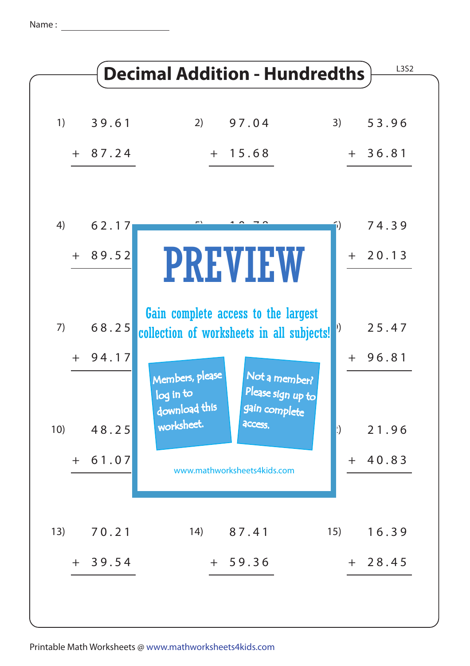